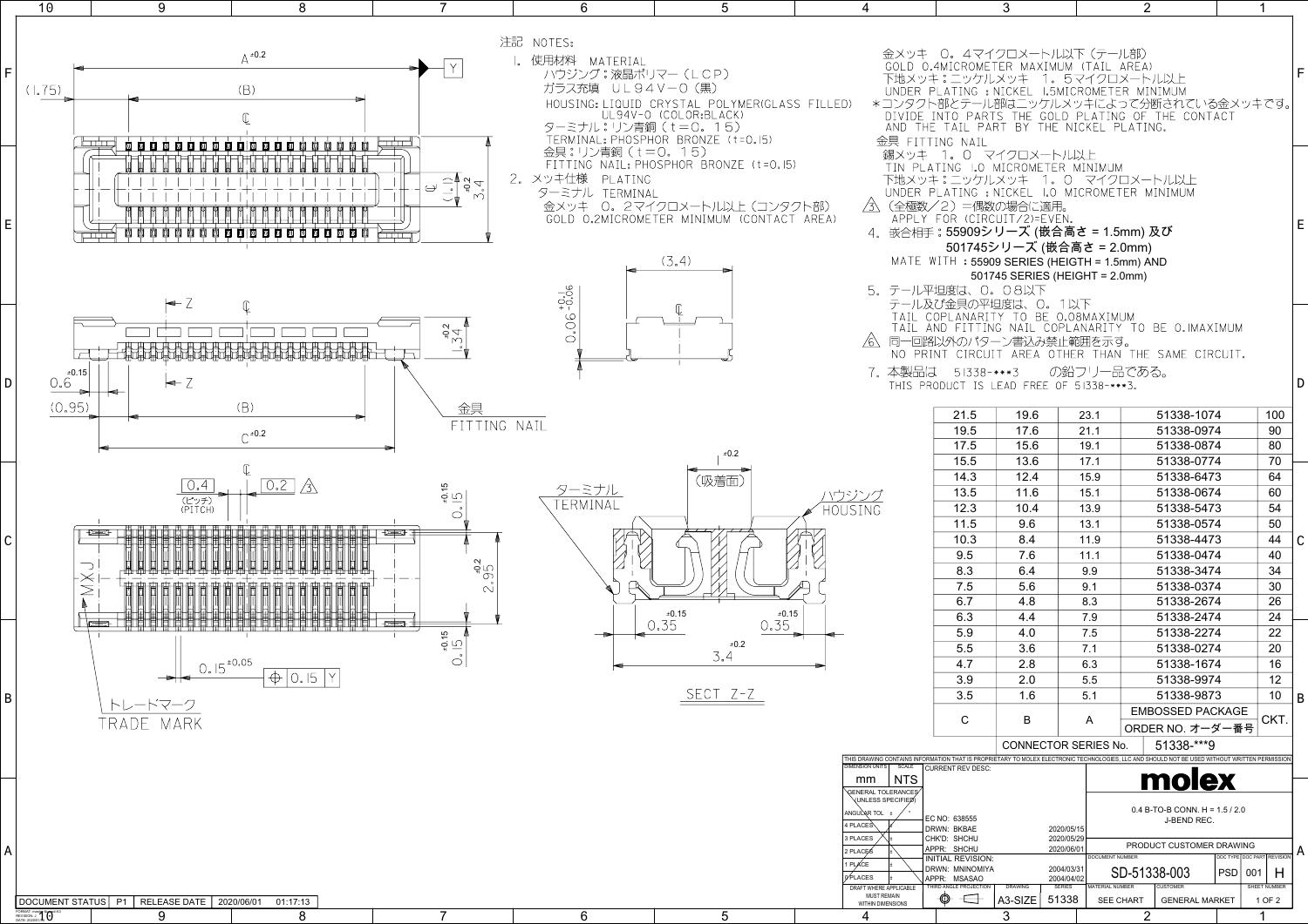| 0. 4マイクロメートル以下 (テール部)<br>.4MICROMETER MAXIMUM (TAIL AREA)<br>キ:ニッケルメッキ 1. 5マイクロメートル以上<br>PLATING: NICKEL L5MICROMETER<br>IE TAIL PART BY THE NICKEL PLATING.                                                                                                                                                                 |                                |                             |                 |                  | MINIMUM<br>卜部とテール部はニッケルメッキによって分断されている金メッキです。<br>INTO PARTS THE GOLD PLATING OF THE CONTACT                          |            |     |                            | F             |
|------------------------------------------------------------------------------------------------------------------------------------------------------------------------------------------------------------------------------------------------------------------------------------------------------------------------------|--------------------------------|-----------------------------|-----------------|------------------|---------------------------------------------------------------------------------------------------------------------|------------|-----|----------------------------|---------------|
| TING NAIL<br>1. 0 マイクロメートル以上<br>ATING LO MICROMETER MINIMUM<br>キ:ニッケルメッキ 1.0 マイクロメートル以上<br>PLATING : NICKEL 1.0 MICROMETER MINIMUM<br>/2)=偶数の場合に適用。<br>FOR (CIRCUIT/2)=EVEN.<br>手 : 55909シリーズ (嵌合高さ = 1.5mm) 及び<br>501745シリーズ (嵌合高さ = 2.0mm)<br>$WITH$ : 55909 SERIES (HEIGTH = 1.5mm) AND<br>F坦度は、O。08以下<br>βび金具の平坦度は、0。1以下 | 501745 SERIES (HEIGHT = 2.0mm) |                             |                 |                  |                                                                                                                     |            |     |                            | E             |
| COPLANARITY TO BE 0.08MAXIMUM<br>8以外のパターン書込み禁止範囲を示す。<br>まー<br>RODUCT IS LEAD FREE OF 51338-***3.                                                                                                                                                                                                                             | 51338-***3 の鉛フリー品である。          |                             |                 |                  | AND FITTING NAIL COPLANARITY TO BE O.IMAXIMUM<br>INT CIRCUIT AREA OTHER THAN THE SAME CIRCUIT.                      |            |     |                            | D             |
| 21.5                                                                                                                                                                                                                                                                                                                         | 19.6                           |                             | 23.1            |                  | 51338-1074                                                                                                          |            |     | 100                        |               |
| 19.5                                                                                                                                                                                                                                                                                                                         | 17.6                           |                             | 21.1            |                  | 51338-0974                                                                                                          |            |     | 90                         |               |
| 17.5                                                                                                                                                                                                                                                                                                                         | 15.6                           |                             | 19.1            |                  | 51338-0874                                                                                                          |            |     | 80                         |               |
| 15.5                                                                                                                                                                                                                                                                                                                         | 13.6                           |                             | 17.1            |                  | 51338-0774                                                                                                          |            |     | 70                         |               |
| 14.3                                                                                                                                                                                                                                                                                                                         | 12.4                           |                             | 15.9            |                  | 51338-6473                                                                                                          |            |     | 64                         |               |
| 13.5                                                                                                                                                                                                                                                                                                                         | 11.6                           |                             | 15.1            |                  | 51338-0674                                                                                                          |            |     | 60                         |               |
| 12.3                                                                                                                                                                                                                                                                                                                         | 10.4                           |                             | 13.9            |                  | 51338-5473                                                                                                          |            |     | 54                         |               |
| 11.5                                                                                                                                                                                                                                                                                                                         | 9.6                            |                             | 13.1            |                  | 51338-0574                                                                                                          |            |     | 50                         |               |
| 10.3                                                                                                                                                                                                                                                                                                                         | 8.4                            |                             | 11.9            |                  | 51338-4473                                                                                                          |            |     | 44                         | $\mathcal{C}$ |
| 9.5                                                                                                                                                                                                                                                                                                                          | 7.6                            |                             | 11.1            |                  | 51338-0474                                                                                                          |            |     | 40                         |               |
| 8.3                                                                                                                                                                                                                                                                                                                          | 6.4                            |                             | 9.9             |                  | 51338-3474                                                                                                          |            |     | 34                         |               |
| 7.5                                                                                                                                                                                                                                                                                                                          | 5.6                            |                             | 9.1             |                  | 51338-0374                                                                                                          |            |     | 30                         |               |
| 6.7                                                                                                                                                                                                                                                                                                                          | 4.8                            |                             | 8.3             |                  | 51338-2674                                                                                                          |            |     | 26                         |               |
| 6.3                                                                                                                                                                                                                                                                                                                          | 4.4                            |                             | 7.9             |                  | 51338-2474                                                                                                          |            |     | 24                         |               |
| 5.9                                                                                                                                                                                                                                                                                                                          | 4.0                            |                             | 7.5             |                  | 51338-2274                                                                                                          |            |     | 22                         |               |
| 5.5                                                                                                                                                                                                                                                                                                                          | 3.6                            |                             | 7.1             |                  | 51338-0274                                                                                                          |            |     | 20                         |               |
| 4.7                                                                                                                                                                                                                                                                                                                          | 2.8                            |                             | 6.3             |                  | 51338-1674                                                                                                          |            |     | 16                         |               |
| 3.9                                                                                                                                                                                                                                                                                                                          | 2.0                            |                             | 5.5             |                  | 51338-9974                                                                                                          |            |     | 12                         |               |
| 3.5                                                                                                                                                                                                                                                                                                                          | 1.6                            |                             | 5.1             |                  | 51338-9873                                                                                                          |            |     | 10                         | B             |
|                                                                                                                                                                                                                                                                                                                              |                                |                             |                 |                  | <b>EMBOSSED PACKAGE</b>                                                                                             |            |     |                            |               |
| С                                                                                                                                                                                                                                                                                                                            | B                              |                             | A               |                  | ORDER NO. オーダー番号                                                                                                    |            |     | CKT.                       |               |
|                                                                                                                                                                                                                                                                                                                              | CONNECTOR SERIES No.           |                             |                 |                  | 51338-***9                                                                                                          |            |     |                            |               |
|                                                                                                                                                                                                                                                                                                                              |                                |                             |                 |                  | RMATION THAT IS PROPRIETARY TO MOLEX ELECTRONIC TECHNOLOGIES, LLC AND SHOULD NOT BE USED WITHOUT WRITTEN PERMISSION |            |     |                            |               |
| CURRENT REV DESC:                                                                                                                                                                                                                                                                                                            |                                |                             |                 |                  | molex                                                                                                               |            |     |                            |               |
|                                                                                                                                                                                                                                                                                                                              |                                |                             |                 |                  | $0.4$ B-TO-B CONN. H = 1.5 / 2.0                                                                                    |            |     |                            |               |
| EC NO: 638555<br>DRWN: BKBAE                                                                                                                                                                                                                                                                                                 |                                | 2020/05/15                  |                 |                  | J-BEND REC.                                                                                                         |            |     |                            |               |
| CHK'D: SHCHU                                                                                                                                                                                                                                                                                                                 |                                | 2020/05/29                  |                 |                  | PRODUCT CUSTOMER DRAWING                                                                                            |            |     |                            |               |
| APPR: SHCHU<br>NITIAL REVISION:                                                                                                                                                                                                                                                                                              |                                | 2020/06/01                  | DOCUMENT NUMBER |                  |                                                                                                                     |            |     | DOC TYPE DOC PART REVISION | A             |
| )RWN: MNINOMIYA                                                                                                                                                                                                                                                                                                              |                                | 2004/03/31                  |                 |                  | SD-51338-003                                                                                                        | <b>PSD</b> | 001 | н                          |               |
| APPR: MSASAO<br>THIRD ANGLE PROJECTION                                                                                                                                                                                                                                                                                       | <b>DRAWING</b>                 | 2004/04/02<br><b>SERIES</b> | MATERIAL NUMBER |                  | <b>CUSTOMER</b>                                                                                                     |            |     | SHEET NUMBER               |               |
|                                                                                                                                                                                                                                                                                                                              | A3-SIZE                        | 51338                       |                 | <b>SEE CHART</b> | <b>GENERAL MARKET</b>                                                                                               |            |     | 1 OF 2                     |               |
|                                                                                                                                                                                                                                                                                                                              | 3                              |                             |                 | 2                |                                                                                                                     |            |     | 1                          |               |

1

2

3

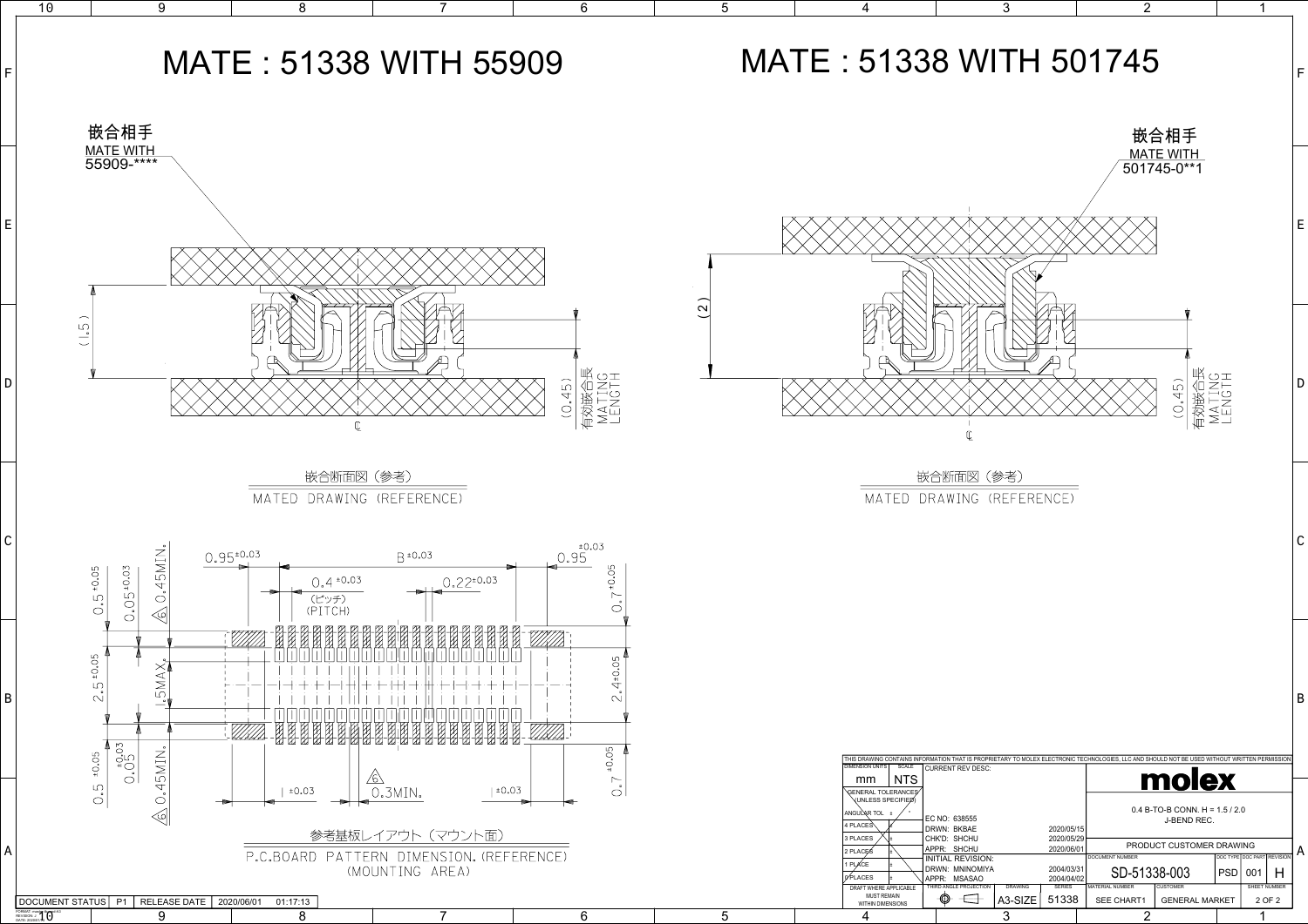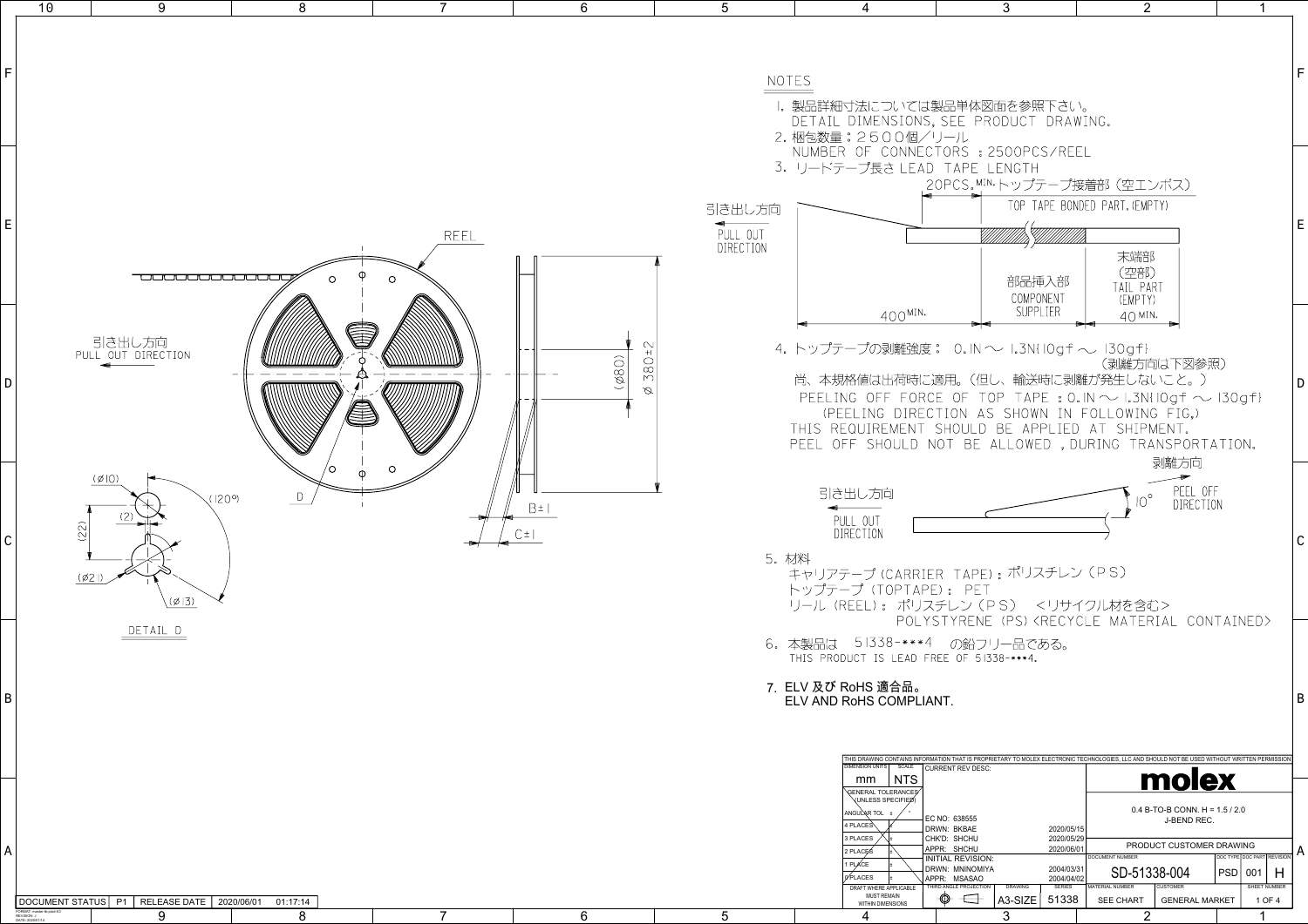DATE: 2020/01/14



| 4                                                                                                                                                                                |                                                               | 3                               |                                           | $\overline{2}$                         |                                                 |            | 1                          |              |
|----------------------------------------------------------------------------------------------------------------------------------------------------------------------------------|---------------------------------------------------------------|---------------------------------|-------------------------------------------|----------------------------------------|-------------------------------------------------|------------|----------------------------|--------------|
|                                                                                                                                                                                  |                                                               |                                 |                                           |                                        |                                                 |            |                            |              |
|                                                                                                                                                                                  |                                                               |                                 |                                           |                                        |                                                 |            |                            | F            |
| 寸法については製品単体図面を参照下さい。<br>DIMENSIONS, SEE PRODUCT DRAWING.<br>: 2500個/リール                                                                                                          |                                                               |                                 |                                           |                                        |                                                 |            |                            |              |
| OF CONNECTORS : 2500PCS/REEL<br>-プ長さ LEAD                                                                                                                                        | TAPE LENGTH                                                   |                                 |                                           |                                        |                                                 |            |                            |              |
|                                                                                                                                                                                  | 20PCS.MIN.トップテープ接着部(空エンボス)                                    |                                 |                                           | TOP TAPE BONDED PART. (EMPTY)          |                                                 |            |                            |              |
|                                                                                                                                                                                  |                                                               |                                 |                                           |                                        |                                                 |            |                            | E            |
|                                                                                                                                                                                  |                                                               |                                 |                                           | 末端部                                    |                                                 |            |                            |              |
|                                                                                                                                                                                  |                                                               | 部品挿入部<br>COMPONENT<br>SUPPI IFR |                                           | (空部)<br>TAIL PART<br>(EMPTY)           |                                                 |            |                            |              |
| 400MIN.                                                                                                                                                                          |                                                               |                                 |                                           | $40$ MIN.                              |                                                 |            |                            |              |
| —プの剥離強度: 0. IN ~ I.3N{ IOgf ~ I3Ogf}                                                                                                                                             |                                                               |                                 |                                           |                                        | (剥離方向は下図参照)                                     |            |                            |              |
| 格値は出荷時に適用。(但し、輸送時に剥離が発生しないこと。)<br>JG OFF                                                                                                                                         | FORCE OF TOP TAPE: 0. IN $\sim$ 1.3N(10gf $\sim$ 130gf)       |                                 |                                           |                                        |                                                 |            |                            | D            |
| ELING<br>-DIREC<br>QUIREMENT SHOULD BE APPL                                                                                                                                      | TION AS SHOWN                                                 |                                 |                                           | IN FOLLOWING FIG.)<br>ED AT SHIPMENT.  |                                                 |            |                            |              |
| FF SHOULD NOT BE ALLOWED , DURING                                                                                                                                                |                                                               |                                 |                                           |                                        | TRANSPORTATION.<br>剥離方向                         |            |                            |              |
| 出し方向                                                                                                                                                                             |                                                               |                                 |                                           |                                        | PEEL OFF                                        |            |                            |              |
| III OUT                                                                                                                                                                          |                                                               |                                 |                                           | $10^{\circ}$                           | DIRECTION                                       |            |                            |              |
| RECTION                                                                                                                                                                          |                                                               |                                 |                                           |                                        |                                                 |            |                            | $\mathsf{C}$ |
| テープ (CARRIER TAPE) : ポリスチレン(PS)                                                                                                                                                  |                                                               |                                 |                                           |                                        |                                                 |            |                            |              |
| -プ(TOPTAPE): PET<br>REEL): ポリスチレン(PS) <リサイクル材を含む>                                                                                                                                |                                                               |                                 |                                           |                                        |                                                 |            |                            |              |
| 51338-***4                                                                                                                                                                       | POLYSTYRENE (PS) <recycle contained="" material=""></recycle> | の鉛フリー品である。                      |                                           |                                        |                                                 |            |                            |              |
| )UCT IS LEAD FREE OF 51338-***4.                                                                                                                                                 |                                                               |                                 |                                           |                                        |                                                 |            |                            |              |
| रoHS 適合品。<br>RoHS COMPLIANT.                                                                                                                                                     |                                                               |                                 |                                           |                                        |                                                 |            |                            | B            |
|                                                                                                                                                                                  |                                                               |                                 |                                           |                                        |                                                 |            |                            |              |
| THIS DRAWING CONTAINS INFORMATION THAT IS PROPRIETARY TO MOLEX ELECTRONIC TECHNOLOGIES, LLC AND SHOULD NOT BE USED WITHOUT WRITTEN PERMISSION<br><b>DIMENSION UNITS</b><br>SCALE | <b>CURRENT REV DESC:</b>                                      |                                 |                                           |                                        |                                                 |            |                            |              |
| NTS<br>mm<br>GENERAL TOLERANCES<br>(UNLESS SPECIFIED)                                                                                                                            |                                                               |                                 |                                           |                                        | molex                                           |            |                            |              |
| ANGULAR TOL ±<br>4 PLACES                                                                                                                                                        | EC NO: 638555<br>DRWN: BKBAE                                  |                                 | 2020/05/15                                |                                        | $0.4$ B-TO-B CONN. H = 1.5 / 2.0<br>J-BEND REC. |            |                            |              |
| 3 PLACES<br>2 PLACES<br>±                                                                                                                                                        | CHK'D: SHCHU<br>APPR: SHCHU<br><b>INITIAL REVISION:</b>       |                                 | 2020/05/29<br>2020/06/01                  | DOCUMENT NUMBER                        | PRODUCT CUSTOMER DRAWING                        |            | DOC TYPE DOC PART REVISION | A            |
| 1 PLACE<br>0 PLACES<br>±<br>DRAFT WHERE APPLICABLE                                                                                                                               | DRWN: MNINOMIYA<br>APPR: MSASAO<br>THIRD ANGLE PROJECTION     | <b>DRAWING</b>                  | 2004/03/31<br>2004/04/02<br><b>SERIES</b> | SD-51338-004<br><b>MATERIAL NUMBER</b> | <b>CUSTOMER</b>                                 | <b>PSD</b> | н<br>001<br>SHEET NUMBER   |              |
| <b>MUST REMAIN</b><br>WITHIN DIMENSIONS                                                                                                                                          | ⊕<br>- - 5-- 1                                                | A3-SIZE                         | 51338                                     | <b>SEE CHART</b>                       | <b>GENERAL MARKET</b>                           |            | 1 OF 4                     |              |

 $\mathcal{D}$ 

1

3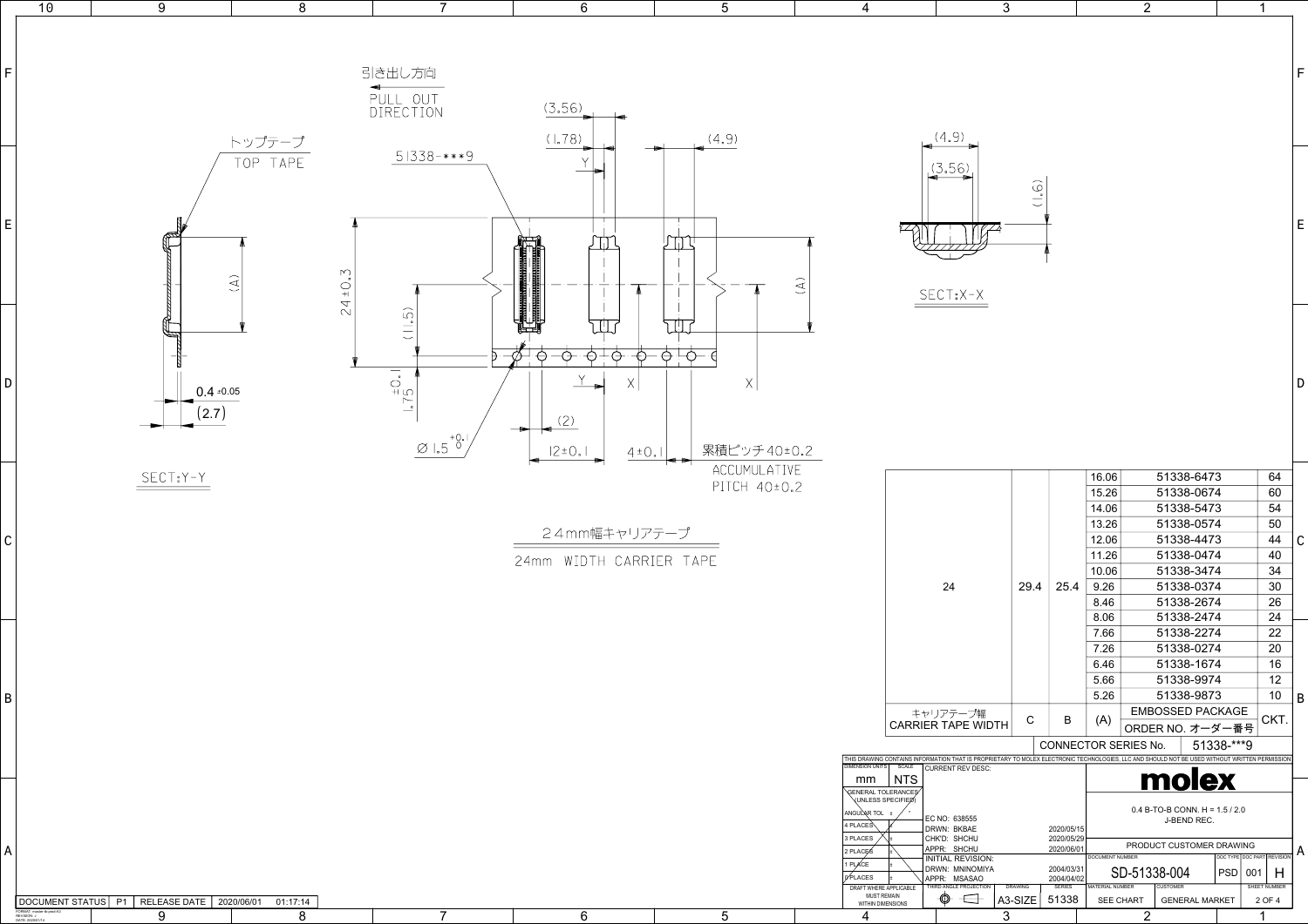| 8<br>$\mathbf{3}$<br>$\overline{2}$<br>$6\phantom{1}$<br>$5\overline{)}$<br>$\overline{7}$<br>4<br>$\overline{1}$<br>引き出し方向<br>PULL OUT<br>DIRECTION<br>(3.56)<br>(4.9)<br>(1.78)<br>(4.9)<br>トップテープ<br>$51338$ -***9<br>TOP TAPE<br>(3.56)<br>$\bigcirc$<br>E<br>स्का<br>TIZZZ<br><u>rth </u><br>$24 + 0.3$<br>$\widehat{\mathcal{A}}$<br>$(\mathbb{A})$<br>$SECT=X-X$<br>(11.5)<br>TILI<br>TIT<br>$-\Theta^+\Theta^-$<br>$\frac{\varphi}{\varphi}$<br>-<br>-<br>$\ominus$<br>$\rightarrow$<br>$\neg \rightarrow$<br>$\begin{array}{c} \begin{array}{c} \downarrow \\ \downarrow \\ \downarrow \end{array} \\ \begin{array}{c} \downarrow \\ \downarrow \end{array} \\ \begin{array}{c} \downarrow \\ \downarrow \end{array} \end{array}$<br>$\mathsf{X}$<br>D<br>$0.4 \pm 0.05$<br>(2.7)<br>(2)<br>$\varnothing$ 1.5 <sup>+0.1</sup><br>累積ピッチ40±0.2<br>$ 2 \pm 0 $ .<br>$4\pm0.1$<br>ACCUMULATIVE<br>$SECT$ <sub>2</sub> $Y - Y$<br>51338-6473<br>64<br>16.06<br>PITCH 40±0.2<br>60<br>51338-0674<br>15.26<br>54<br>51338-5473<br>14.06<br>51338-0574<br>50<br>13.26<br>24mm幅キャリアテープ<br>51338-4473<br>44<br>12.06<br>C<br>51338-0474<br>40<br>11.26<br>24mm WIDTH CARRIER TAPE<br>34<br>51338-3474<br>10.06<br>30<br>24<br>29.4<br>25.4<br>9.26<br>51338-0374<br>26<br>51338-2674<br>8.46<br>24<br>51338-2474<br>8.06<br>22<br>51338-2274<br>7.66<br>51338-0274<br>20<br>7.26<br>16<br>51338-1674<br>6.46<br>12<br>51338-9974<br>5.66<br>51338-9873<br>$10 \nightharpoonup B'$<br>5.26<br><b>EMBOSSED PACKAGE</b><br>キャリアテープ幅<br>CKT.<br>$\mathsf{C}$<br>(A)<br>B<br><b>CARRIER TAPE WIDTH</b><br>ORDER NO. オーダー番号<br>51338-***9<br>CONNECTOR SERIES No.<br>THIS DRAWING CONTAINS INFORMATION THAT IS PROPRIETARY TO MOLEX ELECTRONIC TECHNOLOGIES, LLC AND SHOULD NOT BE USED WITHOUT WRITTEN PERMISSION<br>DIMENSION UNITS<br><b>SCALE</b><br><b>CURRENT REV DESC:</b><br><u>molex</u><br>$\vert$ NTS<br>mm<br>GENERAL TOLERANCES<br>$0.4 B$ -TO-B CONN. H = 1.5 / 2.0<br>ANGULAR TOL ±<br>EC NO: 638555<br>J-BEND REC.<br>4 PLACES<br>DRWN: BKBAE<br>2020/05/15<br>CHK'D: SHCHU<br>2020/05/29<br>3 PLACES<br>PRODUCT CUSTOMER DRAWING<br>2020/06/01<br>APPR: SHCHU<br>2 PLACES<br>$\sqrt{\frac{1000 \text{ TYPE}}{1000 \text{ PART}} \cdot \frac{1}{10000}}$ A | A |  |  |  |  |  |    |
|---------------------------------------------------------------------------------------------------------------------------------------------------------------------------------------------------------------------------------------------------------------------------------------------------------------------------------------------------------------------------------------------------------------------------------------------------------------------------------------------------------------------------------------------------------------------------------------------------------------------------------------------------------------------------------------------------------------------------------------------------------------------------------------------------------------------------------------------------------------------------------------------------------------------------------------------------------------------------------------------------------------------------------------------------------------------------------------------------------------------------------------------------------------------------------------------------------------------------------------------------------------------------------------------------------------------------------------------------------------------------------------------------------------------------------------------------------------------------------------------------------------------------------------------------------------------------------------------------------------------------------------------------------------------------------------------------------------------------------------------------------------------------------------------------------------------------------------------------------------------------------------------------------------------------------------------------------------------------------------------------------------------------------------------------------------------------------------------------------------------------------------------------------------------------------------------------------------------------------------------------------------------|---|--|--|--|--|--|----|
|                                                                                                                                                                                                                                                                                                                                                                                                                                                                                                                                                                                                                                                                                                                                                                                                                                                                                                                                                                                                                                                                                                                                                                                                                                                                                                                                                                                                                                                                                                                                                                                                                                                                                                                                                                                                                                                                                                                                                                                                                                                                                                                                                                                                                                                                     |   |  |  |  |  |  | 10 |
|                                                                                                                                                                                                                                                                                                                                                                                                                                                                                                                                                                                                                                                                                                                                                                                                                                                                                                                                                                                                                                                                                                                                                                                                                                                                                                                                                                                                                                                                                                                                                                                                                                                                                                                                                                                                                                                                                                                                                                                                                                                                                                                                                                                                                                                                     |   |  |  |  |  |  | 9  |
|                                                                                                                                                                                                                                                                                                                                                                                                                                                                                                                                                                                                                                                                                                                                                                                                                                                                                                                                                                                                                                                                                                                                                                                                                                                                                                                                                                                                                                                                                                                                                                                                                                                                                                                                                                                                                                                                                                                                                                                                                                                                                                                                                                                                                                                                     |   |  |  |  |  |  |    |
|                                                                                                                                                                                                                                                                                                                                                                                                                                                                                                                                                                                                                                                                                                                                                                                                                                                                                                                                                                                                                                                                                                                                                                                                                                                                                                                                                                                                                                                                                                                                                                                                                                                                                                                                                                                                                                                                                                                                                                                                                                                                                                                                                                                                                                                                     |   |  |  |  |  |  |    |
|                                                                                                                                                                                                                                                                                                                                                                                                                                                                                                                                                                                                                                                                                                                                                                                                                                                                                                                                                                                                                                                                                                                                                                                                                                                                                                                                                                                                                                                                                                                                                                                                                                                                                                                                                                                                                                                                                                                                                                                                                                                                                                                                                                                                                                                                     |   |  |  |  |  |  |    |
|                                                                                                                                                                                                                                                                                                                                                                                                                                                                                                                                                                                                                                                                                                                                                                                                                                                                                                                                                                                                                                                                                                                                                                                                                                                                                                                                                                                                                                                                                                                                                                                                                                                                                                                                                                                                                                                                                                                                                                                                                                                                                                                                                                                                                                                                     |   |  |  |  |  |  |    |
|                                                                                                                                                                                                                                                                                                                                                                                                                                                                                                                                                                                                                                                                                                                                                                                                                                                                                                                                                                                                                                                                                                                                                                                                                                                                                                                                                                                                                                                                                                                                                                                                                                                                                                                                                                                                                                                                                                                                                                                                                                                                                                                                                                                                                                                                     |   |  |  |  |  |  |    |
|                                                                                                                                                                                                                                                                                                                                                                                                                                                                                                                                                                                                                                                                                                                                                                                                                                                                                                                                                                                                                                                                                                                                                                                                                                                                                                                                                                                                                                                                                                                                                                                                                                                                                                                                                                                                                                                                                                                                                                                                                                                                                                                                                                                                                                                                     |   |  |  |  |  |  |    |
|                                                                                                                                                                                                                                                                                                                                                                                                                                                                                                                                                                                                                                                                                                                                                                                                                                                                                                                                                                                                                                                                                                                                                                                                                                                                                                                                                                                                                                                                                                                                                                                                                                                                                                                                                                                                                                                                                                                                                                                                                                                                                                                                                                                                                                                                     |   |  |  |  |  |  |    |
|                                                                                                                                                                                                                                                                                                                                                                                                                                                                                                                                                                                                                                                                                                                                                                                                                                                                                                                                                                                                                                                                                                                                                                                                                                                                                                                                                                                                                                                                                                                                                                                                                                                                                                                                                                                                                                                                                                                                                                                                                                                                                                                                                                                                                                                                     |   |  |  |  |  |  |    |
|                                                                                                                                                                                                                                                                                                                                                                                                                                                                                                                                                                                                                                                                                                                                                                                                                                                                                                                                                                                                                                                                                                                                                                                                                                                                                                                                                                                                                                                                                                                                                                                                                                                                                                                                                                                                                                                                                                                                                                                                                                                                                                                                                                                                                                                                     |   |  |  |  |  |  |    |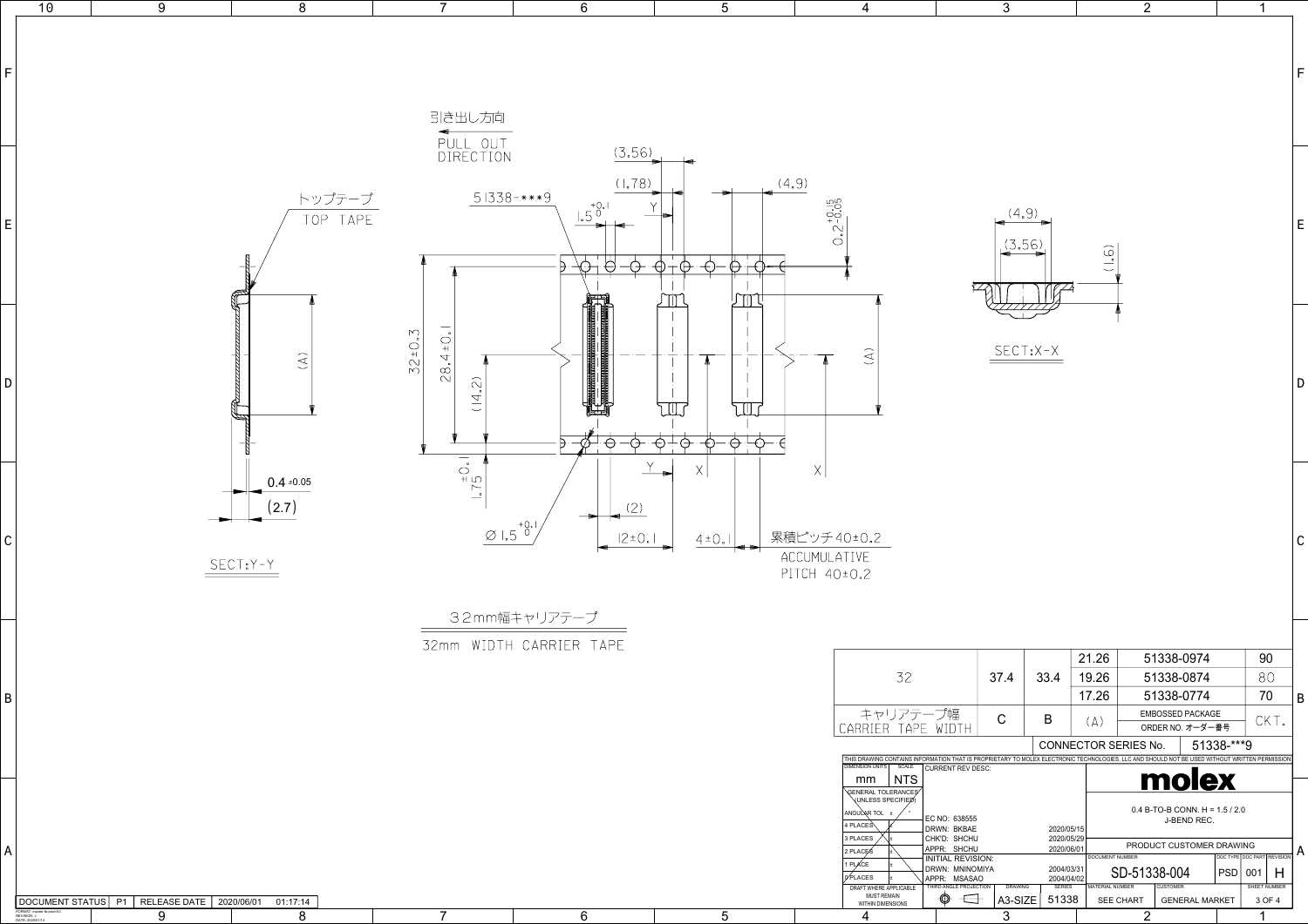